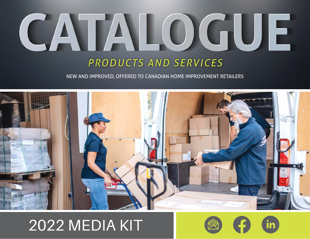# CATALOGUE

# *PRODUCTS AND SERVICES*

NEW AND IMPROVED, OFFERED TO CANADIAN HOME IMPROVEMENT RETAILERS



# 2022 MEDIA KIT

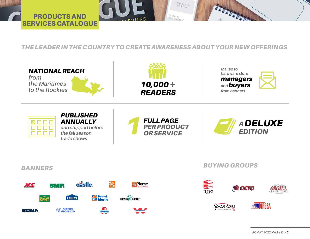

*THE LEADER IN THE COUNTRY TO CREATE AWARENESS ABOUT YOUR NEW OFFERINGS*

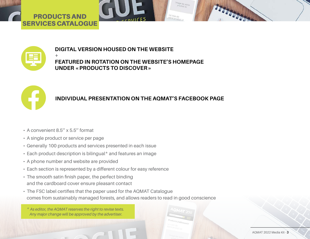# PRODUCTS AND SERVICES CATALOGUE



# **DIGITAL VERSION HOUSED ON THE WEBSITE**

**+ FEATURED IN ROTATION ON THE WEBSITE'S HOMEPAGE UNDER «PRODUCTS TO DISCOVER»**



# **INDIVIDUAL PRESENTATION ON THE AQMAT'S FACEBOOK PAGE**

- A convenient 8.5'' x 5.5'' format
- A single product or service per page
- Generally 100 products and services presented in each issue
- Each product description is bilingual\* and features an image
- A phone number and website are provided
- Each section is represented by a different colour for easy reference
- The smooth satin finish paper, the perfect binding and the cardboard cover ensure pleasant contact
- The FSC label certifies that the paper used for the AQMAT Catalogue comes from sustainably managed forests, and allows readers to read in good conscience
	- *\* As editor, the AQMAT reserves the right to revise texts. Any major change will be approved by the advertiser.*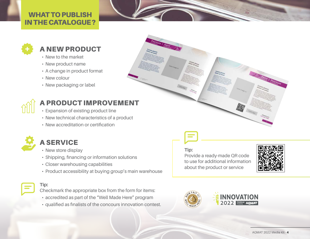# WHAT TO PUBLISH IN THE CATALOGUE?



# A NEW PRODUCT

- New to the market
- New product name
- A change in product format
- New colour
- New packaging or label



# A PRODUCT IMPROVEMENT

- Expansion of existing product line
- New technical characteristics of a product
- New accreditation or certification



# A SERVICE

- New store display
- Shipping, financing or information solutions
- Closer warehousing capabilities
- Product accessibility at buying group's main warehouse

**Tip:** Checkmark the appropriate box from the form for items:

- accredited as part of the "Well Made Here" program
- qualified as finalists of the concours innovation contest.



# **Tip:**

Provide a ready-made QR code to use for additional information about the product or service



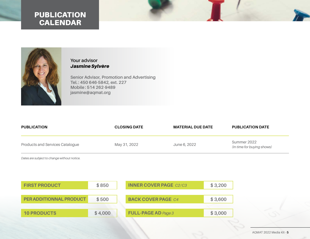# PUBLICATION CALENDAR



## **Your advisor** *Jasmine Sylvère*

**Senior Advisor, Promotion and Advertising Tel. : 450 646-5842, ext. 227 Mobile : 514 262-9489 jasmine@aqmat.org**

| <b>PUBLICATION</b>              | <b>CLOSING DATE</b> | <b>MATERIAL DUE DATE</b> | <b>PUBLICATION DATE</b>                   |
|---------------------------------|---------------------|--------------------------|-------------------------------------------|
| Products and Services Catalogue | May 31, 2022        | June 6, 2022             | Summer 2022<br>(In time for buying shows) |

*Dates are subject to change without notice.*

| <b>FIRST PRODUCT</b>    | \$850   | <b>INNER COVER PAGE C2/C3</b> | \$3,200 |
|-------------------------|---------|-------------------------------|---------|
|                         |         |                               |         |
| PER ADDITIONNAL PRODUCT | \$500   | <b>BACK COVER PAGE C4</b>     | \$3,600 |
|                         |         |                               |         |
| <b>10 PRODUCTS</b>      | \$4,000 | <b>FULL-PAGE AD Page 3</b>    | \$3,000 |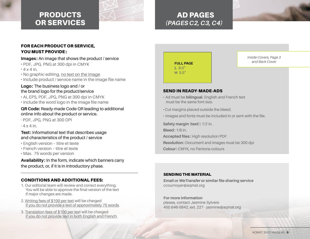# PRODUCTS OR SERVICES



# AD PAGES *(PAGES C2, C3, C4)*



### FOR EACH PRODUCT OR SERVICE, YOU MUST PROVIDE:

#### **Images :** An image that shows the product / service

- · PDF, JPG, PNG at 300 dpi in CMYK  $\cdot$  4 x 4 in.
- · No graphic editing, no text on the image
- · Include product / service name in the image file name

#### **Logo:** The business logo and / or the brand logo for the product/service

· AI, EPS, PDF, JPG, PNG at 300 dpi in CMYK · Include the word logo in the image file name

#### **QR Code:** Ready-made Code QR leading to additional online info about the product or service.

· PDF, JPG, PNG at 300 DPI

 $.4 \times 4$  in.

#### **Text:** Informational text that describes usage and characteristics of the product / service

- · English version titre et texte
- · French version titre et texte
- · Max. 75 words per version

#### **Availability:** In the form, indicate which banners carry the product, or, if it is in introductory phase.

### CONDITIONS AND ADDITIONAL FEES:

- 1. Our editorial team will review and correct everything. You will be able to approve the final version of the text if major changes are made.
- 2. Writing fees of \$100 per text will be charged if you do not provide a text of approximately 75 words.
- 3. Translation fees of \$100 per text will be charged if you do not provide text in both English and French.

# **FULL PAGE L** 8.5" **H** 5.5"

*Inside Covers, Page 3 and Back Cover*

#### SEND IN READY-MADE-ADS

- · Ad must be **bilingual**. English and French text must be the same font size.
- ·Cut margins placed outside the bleed.
- · Images and fonts must be included in or sent with the file.

**Safety margin (text): 1/2 in.** 

**Bleed:** 1/8 in.

**Accepted files :** High resolution PDF

**Resolution:** Document and images must be 300 dpi

**Colour:** CMYK, no Pantone colours

#### SENDING THE MATERIAL

**Email or** *WeTransfer* **or similar file sharing service** ccournoyer@aqmat.org

**For more information** please, contact Jasmine Sylvère 450 646-5842, ext. 227 - jasmine@aqmat.org